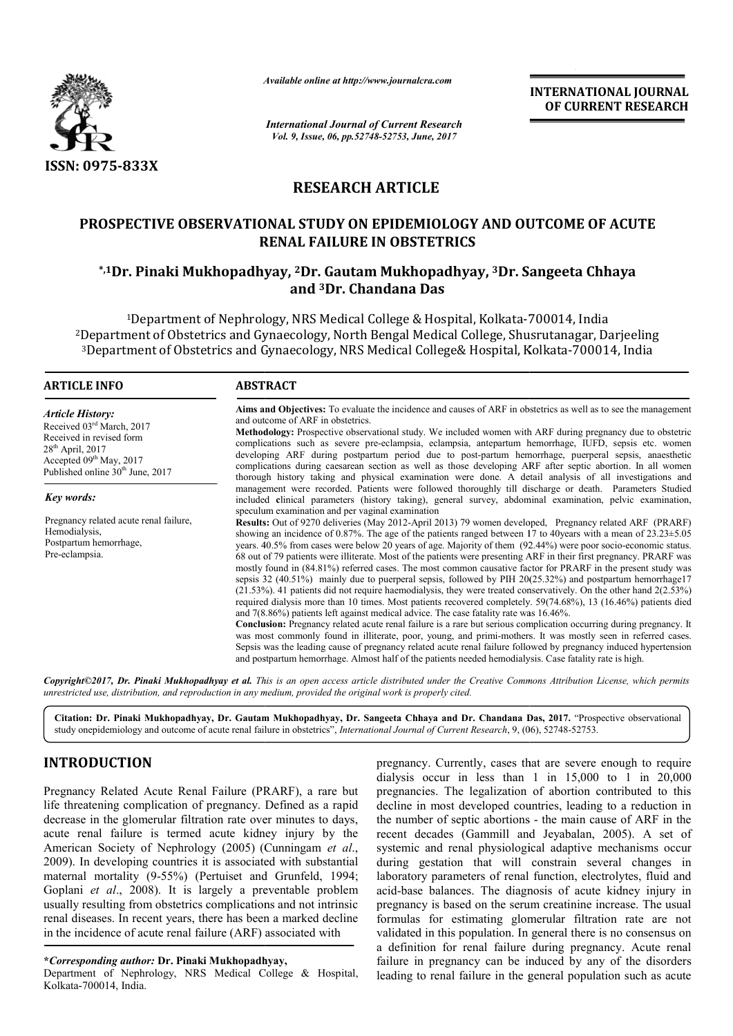

*Available online at http://www.journal http://www.journalcra.com*

# **RESEARCH ARTICLE**

# **PROSPECTIVE OBSERVATIONAL STUDY ON EPIDEMIOLOGY AND OUTCOME OF EPIDEMIOLOGY AND OUTCOME OF ACUTE RENAL FAILURE IN OBSTETRICS**

# **\*,1Dr. Pinaki Mukhopadhyay Mukhopadhyay, 2Dr. Gautam Mukhopadhyay, 3Dr. Sangeeta Sangeeta Chhaya and 3Dr. Chandana Das**

|                                                                                                                                                                                                                                                                                                                                                                                                                                                                                                                                                                                                                                                                                                                                  | лүшише опине иг пир.//www.journatera.com                                                                                                                                                                                                                                                                                                                                                                                                                                                                                                                                                                                                                                                                                                                                                                                                                                                                                                                                                                                                                                                                                                                                                                                                                                                                                                                                                                                                                            |                                                                                                                                                                                                  | <b>INTERNATIONAL JOURNAL</b><br>OF CURRENT RESEARCH                                                                                                                                                                                                                                                                                                                                                                                                                                                                                                                                                                                                                                                                                                                                                                               |
|----------------------------------------------------------------------------------------------------------------------------------------------------------------------------------------------------------------------------------------------------------------------------------------------------------------------------------------------------------------------------------------------------------------------------------------------------------------------------------------------------------------------------------------------------------------------------------------------------------------------------------------------------------------------------------------------------------------------------------|---------------------------------------------------------------------------------------------------------------------------------------------------------------------------------------------------------------------------------------------------------------------------------------------------------------------------------------------------------------------------------------------------------------------------------------------------------------------------------------------------------------------------------------------------------------------------------------------------------------------------------------------------------------------------------------------------------------------------------------------------------------------------------------------------------------------------------------------------------------------------------------------------------------------------------------------------------------------------------------------------------------------------------------------------------------------------------------------------------------------------------------------------------------------------------------------------------------------------------------------------------------------------------------------------------------------------------------------------------------------------------------------------------------------------------------------------------------------|--------------------------------------------------------------------------------------------------------------------------------------------------------------------------------------------------|-----------------------------------------------------------------------------------------------------------------------------------------------------------------------------------------------------------------------------------------------------------------------------------------------------------------------------------------------------------------------------------------------------------------------------------------------------------------------------------------------------------------------------------------------------------------------------------------------------------------------------------------------------------------------------------------------------------------------------------------------------------------------------------------------------------------------------------|
|                                                                                                                                                                                                                                                                                                                                                                                                                                                                                                                                                                                                                                                                                                                                  | <b>International Journal of Current Research</b><br>Vol. 9, Issue, 06, pp.52748-52753, June, 2017                                                                                                                                                                                                                                                                                                                                                                                                                                                                                                                                                                                                                                                                                                                                                                                                                                                                                                                                                                                                                                                                                                                                                                                                                                                                                                                                                                   |                                                                                                                                                                                                  |                                                                                                                                                                                                                                                                                                                                                                                                                                                                                                                                                                                                                                                                                                                                                                                                                                   |
| ISSN: 0975-833X                                                                                                                                                                                                                                                                                                                                                                                                                                                                                                                                                                                                                                                                                                                  |                                                                                                                                                                                                                                                                                                                                                                                                                                                                                                                                                                                                                                                                                                                                                                                                                                                                                                                                                                                                                                                                                                                                                                                                                                                                                                                                                                                                                                                                     |                                                                                                                                                                                                  |                                                                                                                                                                                                                                                                                                                                                                                                                                                                                                                                                                                                                                                                                                                                                                                                                                   |
|                                                                                                                                                                                                                                                                                                                                                                                                                                                                                                                                                                                                                                                                                                                                  | <b>RESEARCH ARTICLE</b>                                                                                                                                                                                                                                                                                                                                                                                                                                                                                                                                                                                                                                                                                                                                                                                                                                                                                                                                                                                                                                                                                                                                                                                                                                                                                                                                                                                                                                             |                                                                                                                                                                                                  |                                                                                                                                                                                                                                                                                                                                                                                                                                                                                                                                                                                                                                                                                                                                                                                                                                   |
|                                                                                                                                                                                                                                                                                                                                                                                                                                                                                                                                                                                                                                                                                                                                  | PROSPECTIVE OBSERVATIONAL STUDY ON EPIDEMIOLOGY AND OUTCOME OF ACUTE<br><b>RENAL FAILURE IN OBSTETRICS</b>                                                                                                                                                                                                                                                                                                                                                                                                                                                                                                                                                                                                                                                                                                                                                                                                                                                                                                                                                                                                                                                                                                                                                                                                                                                                                                                                                          |                                                                                                                                                                                                  |                                                                                                                                                                                                                                                                                                                                                                                                                                                                                                                                                                                                                                                                                                                                                                                                                                   |
|                                                                                                                                                                                                                                                                                                                                                                                                                                                                                                                                                                                                                                                                                                                                  | *,1Dr. Pinaki Mukhopadhyay, <sup>2</sup> Dr. Gautam Mukhopadhyay, <sup>3</sup> Dr. Sangeeta Chhaya<br>and <sup>3</sup> Dr. Chandana Das                                                                                                                                                                                                                                                                                                                                                                                                                                                                                                                                                                                                                                                                                                                                                                                                                                                                                                                                                                                                                                                                                                                                                                                                                                                                                                                             |                                                                                                                                                                                                  |                                                                                                                                                                                                                                                                                                                                                                                                                                                                                                                                                                                                                                                                                                                                                                                                                                   |
|                                                                                                                                                                                                                                                                                                                                                                                                                                                                                                                                                                                                                                                                                                                                  | <sup>1</sup> Department of Nephrology, NRS Medical College & Hospital, Kolkata-700014, India<br><sup>2</sup> Department of Obstetrics and Gynaecology, North Bengal Medical College, Shusrutanagar, Darjeeling<br><sup>3</sup> Department of Obstetrics and Gynaecology, NRS Medical College& Hospital, Kolkata-700014, India                                                                                                                                                                                                                                                                                                                                                                                                                                                                                                                                                                                                                                                                                                                                                                                                                                                                                                                                                                                                                                                                                                                                       |                                                                                                                                                                                                  |                                                                                                                                                                                                                                                                                                                                                                                                                                                                                                                                                                                                                                                                                                                                                                                                                                   |
| <b>ARTICLE INFO</b>                                                                                                                                                                                                                                                                                                                                                                                                                                                                                                                                                                                                                                                                                                              | <b>ABSTRACT</b>                                                                                                                                                                                                                                                                                                                                                                                                                                                                                                                                                                                                                                                                                                                                                                                                                                                                                                                                                                                                                                                                                                                                                                                                                                                                                                                                                                                                                                                     |                                                                                                                                                                                                  |                                                                                                                                                                                                                                                                                                                                                                                                                                                                                                                                                                                                                                                                                                                                                                                                                                   |
| <b>Article History:</b><br>Received 03rd March, 2017<br>Received in revised form<br>28 <sup>th</sup> April, 2017<br>Accepted 09th May, 2017<br>Published online 30 <sup>th</sup> June, 2017<br>Key words:<br>Pregnancy related acute renal failure,<br>Hemodialysis,<br>Postpartum hemorrhage,<br>Pre-eclampsia.                                                                                                                                                                                                                                                                                                                                                                                                                 | Aims and Objectives: To evaluate the incidence and causes of ARF in obstetrics as well as to see the management<br>and outcome of ARF in obstetrics.<br>Methodology: Prospective observational study. We included women with ARF during pregnancy due to obstetric<br>complications such as severe pre-eclampsia, eclampsia, antepartum hemorrhage, IUFD, sepsis etc. women<br>developing ARF during postpartum period due to post-partum hemorrhage, puerperal sepsis, anaesthetic<br>complications during caesarean section as well as those developing ARF after septic abortion. In all women<br>thorough history taking and physical examination were done. A detail analysis of all investigations and<br>management were recorded. Patients were followed thoroughly till discharge or death. Parameters Studied<br>included clinical parameters (history taking), general survey, abdominal examination, pelvic examination,<br>speculum examination and per vaginal examination<br>Results: Out of 9270 deliveries (May 2012-April 2013) 79 women developed, Pregnancy related ARF (PRARF)<br>showing an incidence of 0.87%. The age of the patients ranged between 17 to 40years with a mean of $23.23 \pm 5.05$<br>years. 40.5% from cases were below 20 years of age. Majority of them (92.44%) were poor socio-economic status.<br>68 out of 79 patients were illiterate. Most of the patients were presenting ARF in their first pregnancy. PRARF was |                                                                                                                                                                                                  |                                                                                                                                                                                                                                                                                                                                                                                                                                                                                                                                                                                                                                                                                                                                                                                                                                   |
|                                                                                                                                                                                                                                                                                                                                                                                                                                                                                                                                                                                                                                                                                                                                  |                                                                                                                                                                                                                                                                                                                                                                                                                                                                                                                                                                                                                                                                                                                                                                                                                                                                                                                                                                                                                                                                                                                                                                                                                                                                                                                                                                                                                                                                     | and 7(8.86%) patients left against medical advice. The case fatality rate was 16.46%.<br>and postpartum hemorrhage. Almost half of the patients needed hemodialysis. Case fatality rate is high. | mostly found in (84.81%) referred cases. The most common causative factor for PRARF in the present study was<br>sepsis 32 (40.51%) mainly due to puerperal sepsis, followed by PIH 20(25.32%) and postpartum hemorrhage17<br>$(21.53%)$ . 41 patients did not require haemodialysis, they were treated conservatively. On the other hand $2(2.53%)$<br>required dialysis more than 10 times. Most patients recovered completely. 59(74.68%), 13 (16.46%) patients died<br>Conclusion: Pregnancy related acute renal failure is a rare but serious complication occurring during pregnancy. It<br>was most commonly found in illiterate, poor, young, and primi-mothers. It was mostly seen in reterred cases.<br>Sepsis was the leading cause of pregnancy related acute renal failure followed by pregnancy induced hypertension |
| unrestricted use, distribution, and reproduction in any medium, provided the original work is properly cited.                                                                                                                                                                                                                                                                                                                                                                                                                                                                                                                                                                                                                    |                                                                                                                                                                                                                                                                                                                                                                                                                                                                                                                                                                                                                                                                                                                                                                                                                                                                                                                                                                                                                                                                                                                                                                                                                                                                                                                                                                                                                                                                     |                                                                                                                                                                                                  | Copyright©2017, Dr. Pinaki Mukhopadhyay et al. This is an open access article distributed under the Creative Commons Attribution License, which permits                                                                                                                                                                                                                                                                                                                                                                                                                                                                                                                                                                                                                                                                           |
| study onepidemiology and outcome of acute renal failure in obstetrics", International Journal of Current Research, 9, (06), 52748-52753.                                                                                                                                                                                                                                                                                                                                                                                                                                                                                                                                                                                         |                                                                                                                                                                                                                                                                                                                                                                                                                                                                                                                                                                                                                                                                                                                                                                                                                                                                                                                                                                                                                                                                                                                                                                                                                                                                                                                                                                                                                                                                     |                                                                                                                                                                                                  | Citation: Dr. Pinaki Mukhopadhyay, Dr. Gautam Mukhopadhyay, Dr. Sangeeta Chhaya and Dr. Chandana Das, 2017. "Prospective observational                                                                                                                                                                                                                                                                                                                                                                                                                                                                                                                                                                                                                                                                                            |
| <b>INTRODUCTION</b>                                                                                                                                                                                                                                                                                                                                                                                                                                                                                                                                                                                                                                                                                                              |                                                                                                                                                                                                                                                                                                                                                                                                                                                                                                                                                                                                                                                                                                                                                                                                                                                                                                                                                                                                                                                                                                                                                                                                                                                                                                                                                                                                                                                                     |                                                                                                                                                                                                  | pregnancy. Currently, cases that are severe enough to require<br>dialysis occur in less than 1 in $15,000$ to 1 in $20,000$                                                                                                                                                                                                                                                                                                                                                                                                                                                                                                                                                                                                                                                                                                       |
| Pregnancy Related Acute Renal Failure (PRARF), a rare but<br>life threatening complication of pregnancy. Defined as a rapid<br>decrease in the glomerular filtration rate over minutes to days,<br>acute renal failure is termed acute kidney injury by the<br>American Society of Nephrology (2005) (Cunningam et al.,<br>2009). In developing countries it is associated with substantial<br>maternal mortality (9-55%) (Pertuiset and Grunfeld, 1994;<br>Goplani et al., 2008). It is largely a preventable problem<br>usually resulting from obstetrics complications and not intrinsic<br>renal diseases. In recent years, there has been a marked decline<br>in the incidence of acute renal failure (ARF) associated with |                                                                                                                                                                                                                                                                                                                                                                                                                                                                                                                                                                                                                                                                                                                                                                                                                                                                                                                                                                                                                                                                                                                                                                                                                                                                                                                                                                                                                                                                     |                                                                                                                                                                                                  | pregnancies. The legalization of abortion contributed to this<br>decline in most developed countries, leading to a reduction in<br>the number of septic abortions - the main cause of ARF in the<br>recent decades (Gammill and Jeyabalan, 2005). A set of<br>systemic and renal physiological adaptive mechanisms occur<br>during gestation that will constrain several changes in<br>laboratory parameters of renal function, electrolytes, fluid and<br>acid-base balances. The diagnosis of acute kidney injury in<br>pregnancy is based on the serum creatinine increase. The usual<br>formulas for estimating glomerular filtration rate are not<br>validated in this population. In general there is no consensus on<br>a definition for renal failure during pregnancy. Acute renal                                       |
| <i>*Corresponding author: Dr. Pinaki Mukhopadhyay,</i><br>Department of Nephrology, NRS Medical College & Hospital,                                                                                                                                                                                                                                                                                                                                                                                                                                                                                                                                                                                                              |                                                                                                                                                                                                                                                                                                                                                                                                                                                                                                                                                                                                                                                                                                                                                                                                                                                                                                                                                                                                                                                                                                                                                                                                                                                                                                                                                                                                                                                                     |                                                                                                                                                                                                  | failure in pregnancy can be induced by any of the disorders<br>leading to renal failure in the general population such as acute                                                                                                                                                                                                                                                                                                                                                                                                                                                                                                                                                                                                                                                                                                   |

# **INTRODUCTION**

Department of Nephrology, NRS Medical College & Hospital, Kolkata-700014, India.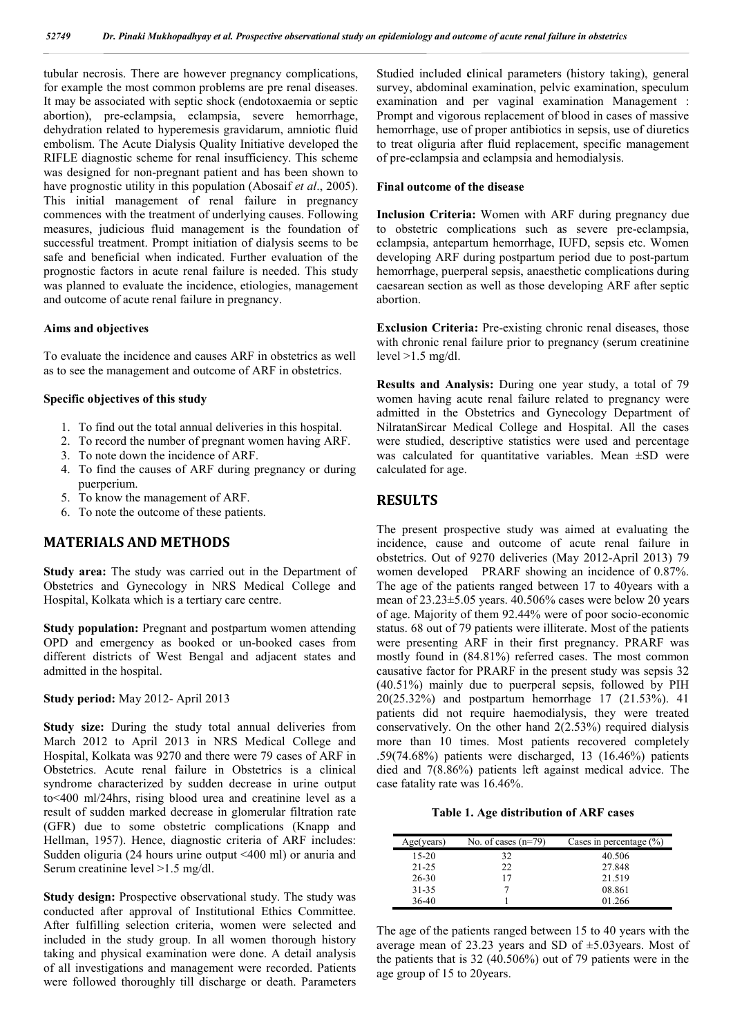tubular necrosis. There are however pregnancy complications, for example the most common problems are pre renal diseases. It may be associated with septic shock (endotoxaemia or septic abortion), pre-eclampsia, eclampsia, severe hemorrhage, dehydration related to hyperemesis gravidarum, amniotic fluid embolism. The Acute Dialysis Quality Initiative developed the RIFLE diagnostic scheme for renal insufficiency. This scheme was designed for non-pregnant patient and has been shown to have prognostic utility in this population (Abosaif *et al*., 2005). This initial management of renal failure in pregnancy commences with the treatment of underlying causes. Following measures, judicious fluid management is the foundation of successful treatment. Prompt initiation of dialysis seems to be safe and beneficial when indicated. Further evaluation of the prognostic factors in acute renal failure is needed. This study was planned to evaluate the incidence, etiologies, management and outcome of acute renal failure in pregnancy.

### **Aims and objectives**

To evaluate the incidence and causes ARF in obstetrics as well as to see the management and outcome of ARF in obstetrics.

### **Specific objectives of this study**

- 1. To find out the total annual deliveries in this hospital.
- 2. To record the number of pregnant women having ARF.
- 3. To note down the incidence of ARF.
- 4. To find the causes of ARF during pregnancy or during puerperium.
- 5. To know the management of ARF.
- 6. To note the outcome of these patients.

## **MATERIALS AND METHODS**

**Study area:** The study was carried out in the Department of Obstetrics and Gynecology in NRS Medical College and Hospital, Kolkata which is a tertiary care centre.

**Study population:** Pregnant and postpartum women attending OPD and emergency as booked or un-booked cases from different districts of West Bengal and adjacent states and admitted in the hospital.

**Study period:** May 2012- April 2013

**Study size:** During the study total annual deliveries from March 2012 to April 2013 in NRS Medical College and Hospital, Kolkata was 9270 and there were 79 cases of ARF in Obstetrics. Acute renal failure in Obstetrics is a clinical syndrome characterized by sudden decrease in urine output to<400 ml/24hrs, rising blood urea and creatinine level as a result of sudden marked decrease in glomerular filtration rate (GFR) due to some obstetric complications (Knapp and Hellman, 1957). Hence, diagnostic criteria of ARF includes: Sudden oliguria (24 hours urine output <400 ml) or anuria and Serum creatinine level >1.5 mg/dl.

**Study design:** Prospective observational study. The study was conducted after approval of Institutional Ethics Committee. After fulfilling selection criteria, women were selected and included in the study group. In all women thorough history taking and physical examination were done. A detail analysis of all investigations and management were recorded. Patients were followed thoroughly till discharge or death. Parameters

Studied included **c**linical parameters (history taking), general survey, abdominal examination, pelvic examination, speculum examination and per vaginal examination Management : Prompt and vigorous replacement of blood in cases of massive hemorrhage, use of proper antibiotics in sepsis, use of diuretics to treat oliguria after fluid replacement, specific management of pre-eclampsia and eclampsia and hemodialysis.

## **Final outcome of the disease**

**Inclusion Criteria:** Women with ARF during pregnancy due to obstetric complications such as severe pre-eclampsia, eclampsia, antepartum hemorrhage, IUFD, sepsis etc. Women developing ARF during postpartum period due to post-partum hemorrhage, puerperal sepsis, anaesthetic complications during caesarean section as well as those developing ARF after septic abortion.

**Exclusion Criteria:** Pre-existing chronic renal diseases, those with chronic renal failure prior to pregnancy (serum creatinine level  $>1.5$  mg/dl.

**Results and Analysis:** During one year study, a total of 79 women having acute renal failure related to pregnancy were admitted in the Obstetrics and Gynecology Department of NilratanSircar Medical College and Hospital. All the cases were studied, descriptive statistics were used and percentage was calculated for quantitative variables. Mean ±SD were calculated for age.

## **RESULTS**

The present prospective study was aimed at evaluating the incidence, cause and outcome of acute renal failure in obstetrics. Out of 9270 deliveries (May 2012-April 2013) 79 women developed PRARF showing an incidence of 0.87%. The age of the patients ranged between 17 to 40years with a mean of 23.23±5.05 years. 40.506% cases were below 20 years of age. Majority of them 92.44% were of poor socio-economic status. 68 out of 79 patients were illiterate. Most of the patients were presenting ARF in their first pregnancy. PRARF was mostly found in (84.81%) referred cases. The most common causative factor for PRARF in the present study was sepsis 32 (40.51%) mainly due to puerperal sepsis, followed by PIH 20(25.32%) and postpartum hemorrhage 17 (21.53%). 41 patients did not require haemodialysis, they were treated conservatively. On the other hand 2(2.53%) required dialysis more than 10 times. Most patients recovered completely .59(74.68%) patients were discharged, 13 (16.46%) patients died and 7(8.86%) patients left against medical advice. The case fatality rate was 16.46%.

**Table 1. Age distribution of ARF cases**

| Age(years) | No. of cases $(n=79)$ | Cases in percentage $(\% )$ |
|------------|-----------------------|-----------------------------|
| $15-20$    | 32                    | 40.506                      |
| 21-25      | 22                    | 27.848                      |
| 26-30      | 17                    | 21.519                      |
| $31 - 35$  |                       | 08.861                      |
| 36-40      |                       | 01.266                      |

The age of the patients ranged between 15 to 40 years with the average mean of 23.23 years and SD of ±5.03years. Most of the patients that is 32 (40.506%) out of 79 patients were in the age group of 15 to 20years.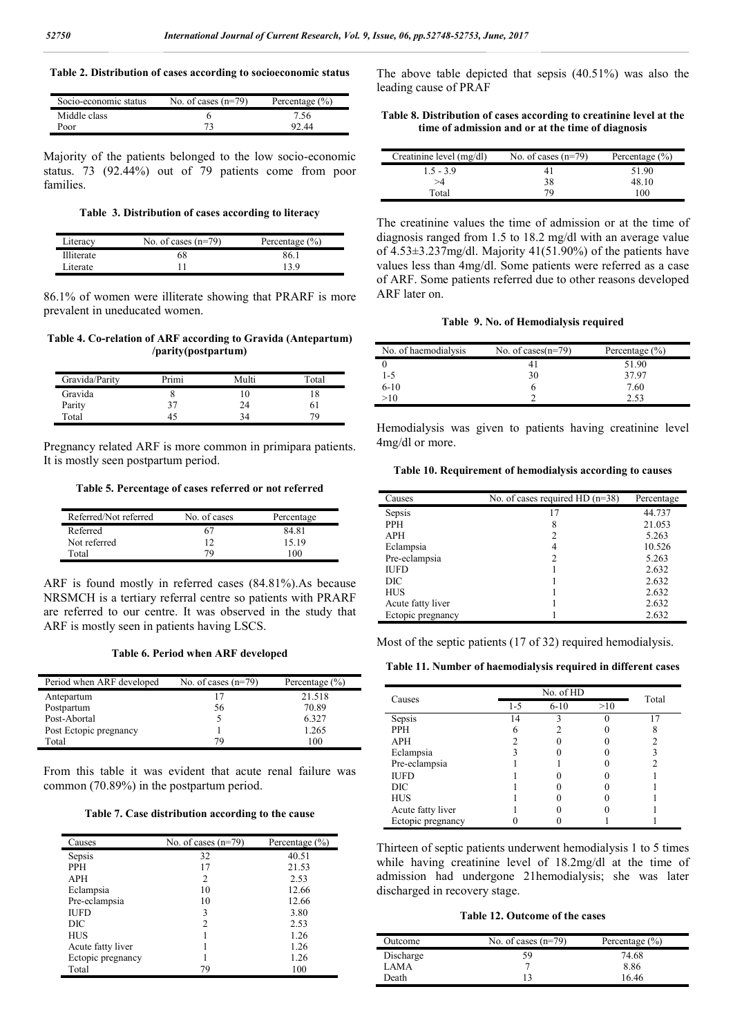## **Table 2. Distribution of cases according to socioeconomic status**

| Socio-economic status | No. of cases $(n=79)$ | Percentage $(\% )$ |
|-----------------------|-----------------------|--------------------|
| Middle class          |                       | 7.56.              |
| Poor                  |                       | 92.44              |

Majority of the patients belonged to the low socio-economic status. 73 (92.44%) out of 79 patients come from poor families.

**Table 3. Distribution of cases according to literacy**

| Literacy          | No. of cases $(n=79)$ | Percentage $(\% )$ |
|-------------------|-----------------------|--------------------|
| <b>Illiterate</b> | 68                    | 86.1               |
| Literate          |                       | 13 Q               |

86.1% of women were illiterate showing that PRARF is more prevalent in uneducated women.

**Table 4. Co-relation of ARF according to Gravida (Antepartum) /parity(postpartum)**

| Gravida/Parity | Primi | Multi | Total |
|----------------|-------|-------|-------|
| Gravida        |       | 10    |       |
| Parity         | 37    | 24    | 61    |
| Total          | 45    | 34    | 70.   |

Pregnancy related ARF is more common in primipara patients. It is mostly seen postpartum period.

**Table 5. Percentage of cases referred or not referred**

| Referred/Not referred | No. of cases | Percentage |
|-----------------------|--------------|------------|
| Referred              | 67           | 84.81      |
| Not referred          |              | 15.19      |
| Total                 | 79           | 100        |

ARF is found mostly in referred cases (84.81%).As because NRSMCH is a tertiary referral centre so patients with PRARF are referred to our centre. It was observed in the study that ARF is mostly seen in patients having LSCS.

**Table 6. Period when ARF developed**

| Period when ARF developed | No. of cases $(n=79)$ | Percentage $(\% )$ |
|---------------------------|-----------------------|--------------------|
| Antepartum                | 17                    | 21.518             |
| Postpartum                | 56                    | 70.89              |
| Post-Abortal              |                       | 6.327              |
| Post Ectopic pregnancy    |                       | 1.265              |
| Total                     | 79                    | 100                |

From this table it was evident that acute renal failure was common (70.89%) in the postpartum period.

| Causes            | No. of cases $(n=79)$ | Percentage $(\% )$ |
|-------------------|-----------------------|--------------------|
| Sepsis            | 32                    | 40.51              |
| <b>PPH</b>        | 17                    | 21.53              |
| APH               | 2                     | 2.53               |
| Eclampsia         | 10                    | 12.66              |
| Pre-eclampsia     | 10                    | 12.66              |
| <b>IUFD</b>       | 3                     | 3.80               |
| DIC               | 2                     | 2.53               |
| HUS               |                       | 1.26               |
| Acute fatty liver |                       | 1.26               |
| Ectopic pregnancy |                       | 1.26               |
| Total             | 79                    | 100                |

The above table depicted that sepsis (40.51%) was also the leading cause of PRAF

### **Table 8. Distribution of cases according to creatinine level at the time of admission and or at the time of diagnosis**

| Creatinine level (mg/dl) | No. of cases $(n=79)$ | Percentage $(\% )$ |
|--------------------------|-----------------------|--------------------|
| $1.5 - 3.9$              |                       | 51.90              |
| >4                       | 38                    | 48.10              |
| Total                    | 79                    | 100                |

The creatinine values the time of admission or at the time of diagnosis ranged from 1.5 to 18.2 mg/dl with an average value of 4.53±3.237mg/dl. Majority 41(51.90%) of the patients have values less than 4mg/dl. Some patients were referred as a case of ARF. Some patients referred due to other reasons developed ARF later on.

#### **Table 9. No. of Hemodialysis required**

| No. of haemodialysis | No. of cases $(n=79)$ | Percentage $(\% )$ |
|----------------------|-----------------------|--------------------|
|                      |                       | 51.90              |
| $1 - 5$              | 30                    | 37.97              |
| $6-10$               |                       | 7.60               |
| >10                  |                       | 2.53               |

Hemodialysis was given to patients having creatinine level 4mg/dl or more.

#### **Table 10. Requirement of hemodialysis according to causes**

| Causes            | No. of cases required HD $(n=38)$ | Percentage |
|-------------------|-----------------------------------|------------|
| Sepsis            | 17                                | 44.737     |
| <b>PPH</b>        | 8                                 | 21.053     |
| <b>APH</b>        | 2                                 | 5.263      |
| Eclampsia         | 4                                 | 10.526     |
| Pre-eclampsia     |                                   | 5.263      |
| <b>IUFD</b>       |                                   | 2.632      |
| DIC               |                                   | 2.632      |
| <b>HUS</b>        |                                   | 2.632      |
| Acute fatty liver |                                   | 2.632      |
| Ectopic pregnancy |                                   | 2.632      |

Most of the septic patients (17 of 32) required hemodialysis.

**Table 11. Number of haemodialysis required in different cases**

| Causes            | No. of HD |          |     | Total |
|-------------------|-----------|----------|-----|-------|
|                   | 1-5       | $6 - 10$ | >10 |       |
| Sepsis            | 14        |          |     | 17    |
| <b>PPH</b>        |           |          |     | Ω     |
| <b>APH</b>        |           |          |     |       |
| Eclampsia         |           |          |     |       |
| Pre-eclampsia     |           |          |     |       |
| <b>IUFD</b>       |           |          |     |       |
| DIC               |           |          |     |       |
| <b>HUS</b>        |           |          |     |       |
| Acute fatty liver |           |          |     |       |
| Ectopic pregnancy |           |          |     |       |

Thirteen of septic patients underwent hemodialysis 1 to 5 times while having creatinine level of 18.2mg/dl at the time of admission had undergone 21hemodialysis; she was later discharged in recovery stage.

#### **Table 12. Outcome of the cases**

| Outcome   | No. of cases $(n=79)$ | Percentage $(\% )$ |
|-----------|-----------------------|--------------------|
| Discharge | 59                    | 74.68              |
| LAMA      |                       | 8.86               |
| Death     | 13                    | 1646               |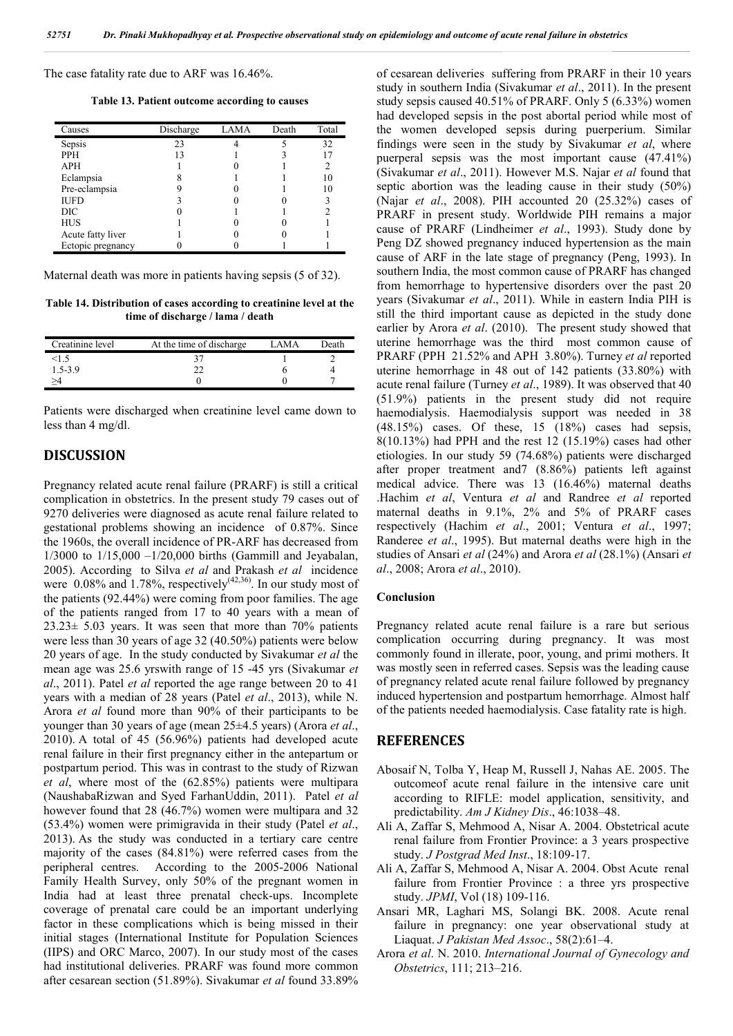The case fatality rate due to ARF was 16.46%.

**Table 13. Patient outcome according to causes**

| Causes            | Discharge | <b>LAMA</b> | Death | Total          |
|-------------------|-----------|-------------|-------|----------------|
| Sepsis            | 23        |             |       | 32             |
| <b>PPH</b>        | 13        |             |       | 17             |
| <b>APH</b>        |           |             |       | $\overline{c}$ |
| Eclampsia         |           |             |       | 10             |
| Pre-eclampsia     |           |             |       | 10             |
| <b>IUFD</b>       |           |             |       |                |
| DIC               |           |             |       | 2              |
| <b>HUS</b>        |           |             |       |                |
| Acute fatty liver |           |             |       |                |
| Ectopic pregnancy |           |             |       |                |

Maternal death was more in patients having sepsis (5 of 32).

**Table 14. Distribution of cases according to creatinine level at the time of discharge / lama / death**

| Creatinine level | At the time of discharge. | ΙΔΜΑ | Death |
|------------------|---------------------------|------|-------|
|                  |                           |      |       |
| $1.5 - 3.9$      |                           |      |       |
|                  |                           |      |       |

Patients were discharged when creatinine level came down to less than 4 mg/dl.

## **DISCUSSION**

Pregnancy related acute renal failure (PRARF) is still a critical complication in obstetrics. In the present study 79 cases out of 9270 deliveries were diagnosed as acute renal failure related to gestational problems showing an incidence of 0.87%. Since the 1960s, the overall incidence of PR-ARF has decreased from 1/3000 to 1/15,000 –1/20,000 births (Gammill and Jeyabalan, 2005). According to Silva *et al* and Prakash *et al* incidence were  $0.08\%$  and  $1.78\%$ , respectively<sup>(42,36)</sup>. In our study most of the patients (92.44%) were coming from poor families. The age of the patients ranged from 17 to 40 years with a mean of  $23.23 \pm 5.03$  years. It was seen that more than 70% patients were less than 30 years of age 32 (40.50%) patients were below 20 years of age. In the study conducted by Sivakumar *et al* the mean age was 25.6 yrswith range of 15 -45 yrs (Sivakumar *et al*., 2011). Patel *et al* reported the age range between 20 to 41 years with a median of 28 years (Patel *et al*., 2013), while N. Arora *et al* found more than 90% of their participants to be younger than 30 years of age (mean 25±4.5 years) (Arora *et al*., 2010). A total of 45 (56.96%) patients had developed acute renal failure in their first pregnancy either in the antepartum or postpartum period. This was in contrast to the study of Rizwan *et al*, where most of the (62.85%) patients were multipara (NaushabaRizwan and Syed FarhanUddin, 2011). Patel *et al* however found that 28 (46.7%) women were multipara and 32 (53.4%) women were primigravida in their study (Patel *et al*., 2013). As the study was conducted in a tertiary care centre majority of the cases (84.81%) were referred cases from the peripheral centres. According to the 2005-2006 National Family Health Survey, only 50% of the pregnant women in India had at least three prenatal check-ups. Incomplete coverage of prenatal care could be an important underlying factor in these complications which is being missed in their initial stages (International Institute for Population Sciences (IIPS) and ORC Marco, 2007). In our study most of the cases had institutional deliveries. PRARF was found more common after cesarean section (51.89%). Sivakumar *et al* found 33.89%

of cesarean deliveries suffering from PRARF in their 10 years study in southern India (Sivakumar *et al*., 2011). In the present study sepsis caused 40.51% of PRARF. Only 5 (6.33%) women had developed sepsis in the post abortal period while most of the women developed sepsis during puerperium. Similar findings were seen in the study by Sivakumar *et al*, where puerperal sepsis was the most important cause (47.41%) (Sivakumar *et al*., 2011). However M.S. Najar *et al* found that septic abortion was the leading cause in their study (50%) (Najar *et al*., 2008). PIH accounted 20 (25.32%) cases of PRARF in present study. Worldwide PIH remains a major cause of PRARF (Lindheimer *et al*., 1993). Study done by Peng DZ showed pregnancy induced hypertension as the main cause of ARF in the late stage of pregnancy (Peng, 1993). In southern India, the most common cause of PRARF has changed from hemorrhage to hypertensive disorders over the past 20 years (Sivakumar *et al*., 2011). While in eastern India PIH is still the third important cause as depicted in the study done earlier by Arora *et al*. (2010). The present study showed that uterine hemorrhage was the third most common cause of PRARF (PPH 21.52% and APH 3.80%). Turney *et al* reported uterine hemorrhage in 48 out of 142 patients (33.80%) with acute renal failure (Turney *et al*., 1989). It was observed that 40 (51.9%) patients in the present study did not require haemodialysis. Haemodialysis support was needed in 38  $(48.15\%)$  cases. Of these, 15  $(18\%)$  cases had sepsis, 8(10.13%) had PPH and the rest 12 (15.19%) cases had other etiologies. In our study 59 (74.68%) patients were discharged after proper treatment and7 (8.86%) patients left against medical advice. There was 13 (16.46%) maternal deaths .Hachim *et al*, Ventura *et al* and Randree *et al* reported maternal deaths in 9.1%, 2% and 5% of PRARF cases respectively (Hachim *et al*., 2001; Ventura *et al*., 1997; Randeree *et al*., 1995). But maternal deaths were high in the studies of Ansari *et al* (24%) and Arora *et al* (28.1%) (Ansari *et al*., 2008; Arora *et al*., 2010).

### **Conclusion**

Pregnancy related acute renal failure is a rare but serious complication occurring during pregnancy. It was most commonly found in illerate, poor, young, and primi mothers. It was mostly seen in referred cases. Sepsis was the leading cause of pregnancy related acute renal failure followed by pregnancy induced hypertension and postpartum hemorrhage. Almost half of the patients needed haemodialysis. Case fatality rate is high.

### **REFERENCES**

- Abosaif N, Tolba Y, Heap M, Russell J, Nahas AE. 2005. The outcomeof acute renal failure in the intensive care unit according to RIFLE: model application, sensitivity, and predictability. *Am J Kidney Dis*., 46:1038–48.
- Ali A, Zaffar S, Mehmood A, Nisar A. 2004. Obstetrical acute renal failure from Frontier Province: a 3 years prospective study. *J Postgrad Med Inst*., 18:109-17.
- Ali A, Zaffar S, Mehmood A, Nisar A. 2004. Obst Acute renal failure from Frontier Province : a three yrs prospective study. *JPMI*, Vol (18) 109-116.
- Ansari MR, Laghari MS, Solangi BK. 2008. Acute renal failure in pregnancy: one year observational study at Liaquat. *J Pakistan Med Assoc*., 58(2):61–4.
- Arora *et al*. N. 2010. *International Journal of Gynecology and Obstetrics*, 111; 213–216.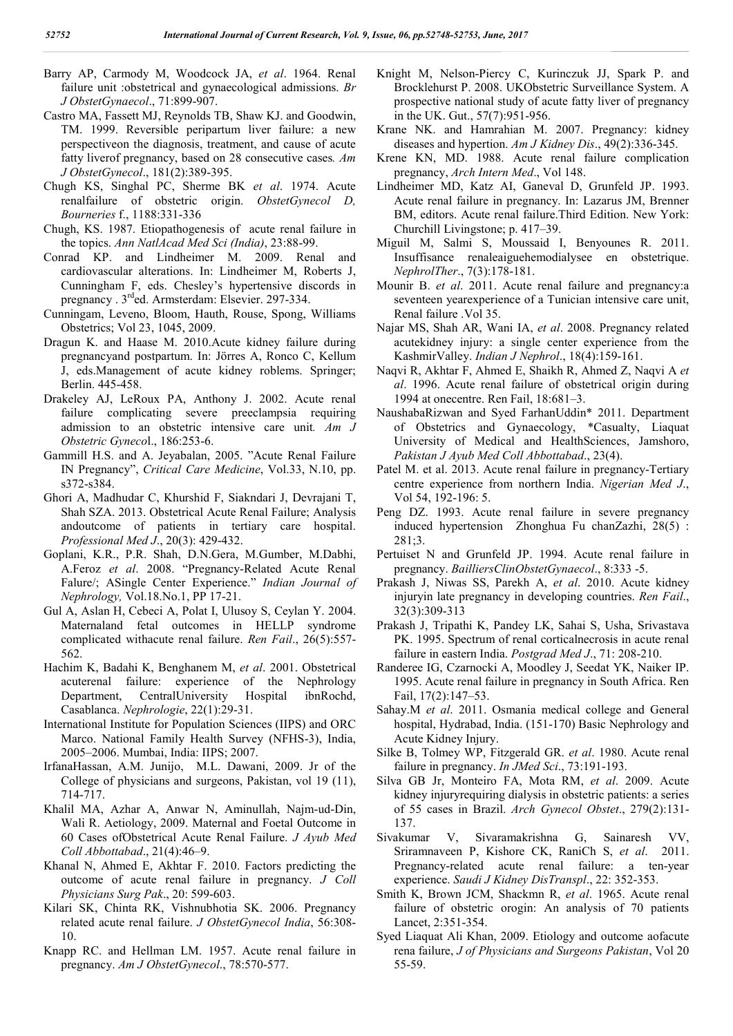- Barry AP, Carmody M, Woodcock JA, *et al*. 1964. Renal failure unit :obstetrical and gynaecological admissions. *Br J ObstetGynaecol*., 71:899-907.
- Castro MA, Fassett MJ, Reynolds TB, Shaw KJ. and Goodwin, TM. 1999. Reversible peripartum liver failure: a new perspectiveon the diagnosis, treatment, and cause of acute fatty liverof pregnancy, based on 28 consecutive cases*. Am J ObstetGynecol*., 181(2):389-395.
- Chugh KS, Singhal PC, Sherme BK *et al*. 1974. Acute renalfailure of obstetric origin. *ObstetGynecol D, Bourneries* f., 1188:331-336
- Chugh, KS. 1987. Etiopathogenesis of acute renal failure in the topics. *Ann NatlAcad Med Sci (India)*, 23:88-99.
- Conrad KP. and Lindheimer M. 2009. Renal and cardiovascular alterations. In: Lindheimer M, Roberts J, Cunningham F, eds. Chesley's hypertensive discords in pregnancy . 3rded. Armsterdam: Elsevier. 297-334.
- Cunningam, Leveno, Bloom, Hauth, Rouse, Spong, Williams Obstetrics; Vol 23, 1045, 2009.
- Dragun K. and Haase M. 2010.Acute kidney failure during pregnancyand postpartum. In: Jörres A, Ronco C, Kellum J, eds.Management of acute kidney roblems. Springer; Berlin. 445-458.
- Drakeley AJ, LeRoux PA, Anthony J. 2002. Acute renal failure complicating severe preeclampsia requiring admission to an obstetric intensive care unit*. Am J Obstetric Gyneco*l., 186:253-6.
- Gammill H.S. and A. Jeyabalan, 2005. "Acute Renal Failure IN Pregnancy", *Critical Care Medicine*, Vol.33, N.10, pp. s372-s384.
- Ghori A, Madhudar C, Khurshid F, Siakndari J, Devrajani T, Shah SZA. 2013. Obstetrical Acute Renal Failure; Analysis andoutcome of patients in tertiary care hospital. *Professional Med J*., 20(3): 429-432.
- Goplani, K.R., P.R. Shah, D.N.Gera, M.Gumber, M.Dabhi, A.Feroz *et al*. 2008. "Pregnancy-Related Acute Renal Falure/; ASingle Center Experience." *Indian Journal of Nephrology,* Vol.18.No.1, PP 17-21.
- Gul A, Aslan H, Cebeci A, Polat I, Ulusoy S, Ceylan Y. 2004. Maternaland fetal outcomes in HELLP syndrome complicated withacute renal failure. *Ren Fail*., 26(5):557- 562.
- Hachim K, Badahi K, Benghanem M, *et al*. 2001. Obstetrical acuterenal failure: experience of the Nephrology Department, CentralUniversity Hospital ibnRochd, Casablanca. *Nephrologie*, 22(1):29-31.
- International Institute for Population Sciences (IIPS) and ORC Marco. National Family Health Survey (NFHS-3), India, 2005–2006. Mumbai, India: IIPS; 2007.
- IrfanaHassan, A.M. Junijo, M.L. Dawani, 2009. Jr of the College of physicians and surgeons, Pakistan, vol 19 (11), 714-717.
- Khalil MA, Azhar A, Anwar N, Aminullah, Najm-ud-Din, Wali R. Aetiology, 2009. Maternal and Foetal Outcome in 60 Cases ofObstetrical Acute Renal Failure. *J Ayub Med Coll Abbottabad*., 21(4):46–9.
- Khanal N, Ahmed E, Akhtar F. 2010. Factors predicting the outcome of acute renal failure in pregnancy. *J Coll Physicians Surg Pak*., 20: 599-603.
- Kilari SK, Chinta RK, Vishnubhotia SK. 2006. Pregnancy related acute renal failure. *J ObstetGynecol India*, 56:308- 10.
- Knapp RC. and Hellman LM. 1957. Acute renal failure in pregnancy. *Am J ObstetGynecol*., 78:570-577.
- Knight M, Nelson-Piercy C, Kurinczuk JJ, Spark P. and Brocklehurst P. 2008. UKObstetric Surveillance System. A prospective national study of acute fatty liver of pregnancy in the UK. Gut., 57(7):951-956.
- Krane NK. and Hamrahian M. 2007. Pregnancy: kidney diseases and hypertion. *Am J Kidney Dis*., 49(2):336-345.
- Krene KN, MD. 1988. Acute renal failure complication pregnancy, *Arch Intern Med*., Vol 148.
- Lindheimer MD, Katz AI, Ganeval D, Grunfeld JP. 1993. Acute renal failure in pregnancy. In: Lazarus JM, Brenner BM, editors. Acute renal failure.Third Edition. New York: Churchill Livingstone; p. 417–39.
- Miguil M, Salmi S, Moussaid I, Benyounes R. 2011. Insuffisance renaleaiguehemodialysee en obstetrique. *NephrolTher*., 7(3):178-181.
- Mounir B. *et al*. 2011. Acute renal failure and pregnancy:a seventeen yearexperience of a Tunician intensive care unit, Renal failure .Vol 35.
- Najar MS, Shah AR, Wani IA, *et al*. 2008. Pregnancy related acutekidney injury: a single center experience from the KashmirValley. *Indian J Nephrol*., 18(4):159-161.
- Naqvi R, Akhtar F, Ahmed E, Shaikh R, Ahmed Z, Naqvi A *et al*. 1996. Acute renal failure of obstetrical origin during 1994 at onecentre. Ren Fail, 18:681–3.
- NaushabaRizwan and Syed FarhanUddin\* 2011. Department of Obstetrics and Gynaecology, \*Casualty, Liaquat University of Medical and HealthSciences, Jamshoro, *Pakistan J Ayub Med Coll Abbottabad*., 23(4).
- Patel M. et al. 2013. Acute renal failure in pregnancy-Tertiary centre experience from northern India. *Nigerian Med J*., Vol 54, 192-196: 5.
- Peng DZ. 1993. Acute renal failure in severe pregnancy induced hypertension Zhonghua Fu chanZazhi, 28(5) : 281;3.
- Pertuiset N and Grunfeld JP. 1994. Acute renal failure in pregnancy. *BailliersClinObstetGynaecol*., 8:333 -5.
- Prakash J, Niwas SS, Parekh A, *et al*. 2010. Acute kidney injuryin late pregnancy in developing countries. *Ren Fail*., 32(3):309-313
- Prakash J, Tripathi K, Pandey LK, Sahai S, Usha, Srivastava PK. 1995. Spectrum of renal corticalnecrosis in acute renal failure in eastern India. *Postgrad Med J*., 71: 208-210.
- Randeree IG, Czarnocki A, Moodley J, Seedat YK, Naiker IP. 1995. Acute renal failure in pregnancy in South Africa. Ren Fail, 17(2):147–53.
- Sahay.M *et al*. 2011. Osmania medical college and General hospital, Hydrabad, India. (151-170) Basic Nephrology and Acute Kidney Injury.
- Silke B, Tolmey WP, Fitzgerald GR. *et al*. 1980. Acute renal failure in pregnancy. *In JMed Sci*., 73:191-193.
- Silva GB Jr, Monteiro FA, Mota RM, *et al*. 2009. Acute kidney injuryrequiring dialysis in obstetric patients: a series of 55 cases in Brazil. *Arch Gynecol Obstet*., 279(2):131- 137.
- Sivakumar V, Sivaramakrishna G, Sainaresh VV, Sriramnaveen P, Kishore CK, RaniCh S, *et al*. 2011. Pregnancy-related acute renal failure: a ten-year experience. *Saudi J Kidney DisTranspl*., 22: 352-353.
- Smith K, Brown JCM, Shackmn R, *et al*. 1965. Acute renal failure of obstetric orogin: An analysis of 70 patients Lancet, 2:351-354.
- Syed Liaquat Ali Khan, 2009. Etiology and outcome aofacute rena failure, *J of Physicians and Surgeons Pakistan*, Vol 20 55-59.